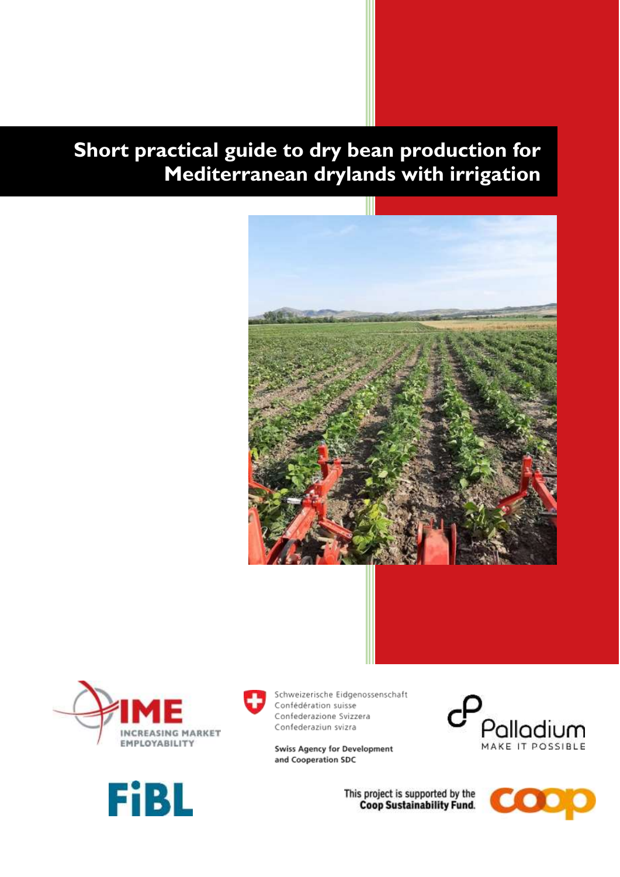# **Short practical guide to dry bean production for Mediterranean drylands with irrigation**









Schweizerische Eidgenossenschaft Confédération suisse Confederazione Svizzera Confederaziun svizra

**Swiss Agency for Development** and Cooperation SDC



This project is supported by the **Coop Sustainability Fund.** 

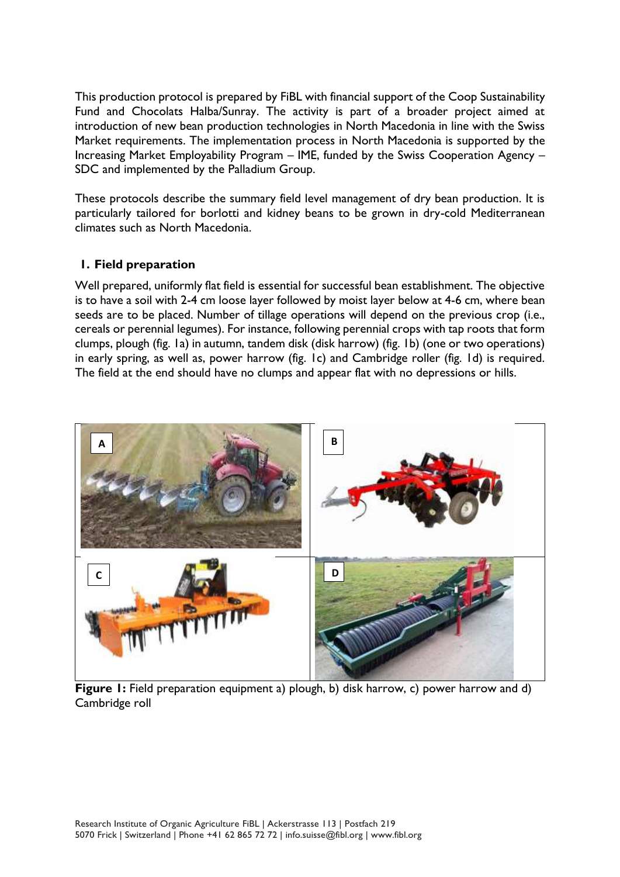This production protocol is prepared by FiBL with financial support of the Coop Sustainability Fund and Chocolats Halba/Sunray. The activity is part of a broader project aimed at introduction of new bean production technologies in North Macedonia in line with the Swiss Market requirements. The implementation process in North Macedonia is supported by the Increasing Market Employability Program – IME, funded by the Swiss Cooperation Agency – SDC and implemented by the Palladium Group.

These protocols describe the summary field level management of dry bean production. It is particularly tailored for borlotti and kidney beans to be grown in dry-cold Mediterranean climates such as North Macedonia.

### **1. Field preparation**

Well prepared, uniformly flat field is essential for successful bean establishment. The objective is to have a soil with 2-4 cm loose layer followed by moist layer below at 4-6 cm, where bean seeds are to be placed. Number of tillage operations will depend on the previous crop (i.e., cereals or perennial legumes). For instance, following perennial crops with tap roots that form clumps, plough (fig. 1a) in autumn, tandem disk (disk harrow) (fig. 1b) (one or two operations) in early spring, as well as, power harrow (fig. 1c) and Cambridge roller (fig. 1d) is required. The field at the end should have no clumps and appear flat with no depressions or hills.



**Figure 1:** Field preparation equipment a) plough, b) disk harrow, c) power harrow and d) Cambridge roll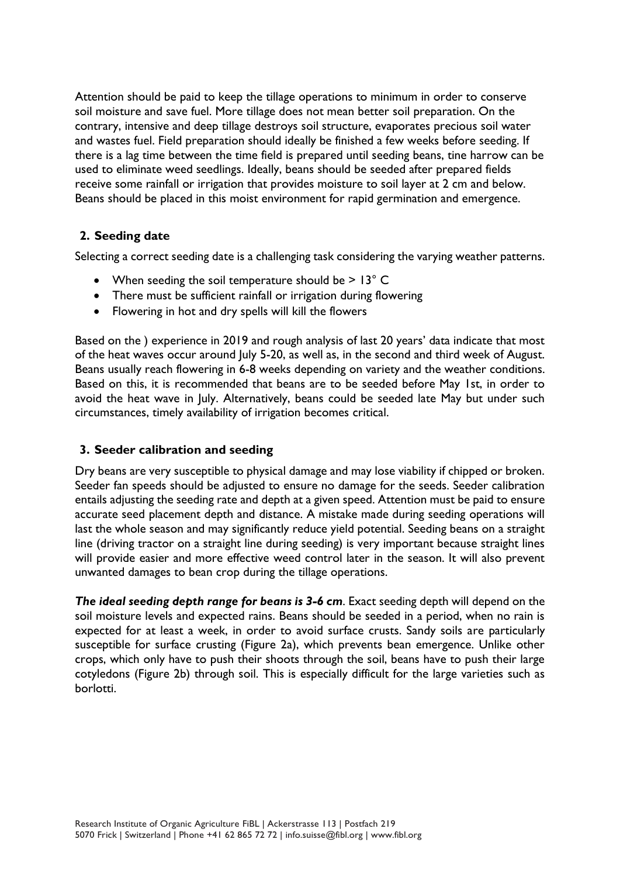Attention should be paid to keep the tillage operations to minimum in order to conserve soil moisture and save fuel. More tillage does not mean better soil preparation. On the contrary, intensive and deep tillage destroys soil structure, evaporates precious soil water and wastes fuel. Field preparation should ideally be finished a few weeks before seeding. If there is a lag time between the time field is prepared until seeding beans, tine harrow can be used to eliminate weed seedlings. Ideally, beans should be seeded after prepared fields receive some rainfall or irrigation that provides moisture to soil layer at 2 cm and below. Beans should be placed in this moist environment for rapid germination and emergence.

## **2. Seeding date**

Selecting a correct seeding date is a challenging task considering the varying weather patterns.

- When seeding the soil temperature should be  $> 13^{\circ}$  C
- There must be sufficient rainfall or irrigation during flowering
- Flowering in hot and dry spells will kill the flowers

Based on the ) experience in 2019 and rough analysis of last 20 years' data indicate that most of the heat waves occur around July 5-20, as well as, in the second and third week of August. Beans usually reach flowering in 6-8 weeks depending on variety and the weather conditions. Based on this, it is recommended that beans are to be seeded before May 1st, in order to avoid the heat wave in July. Alternatively, beans could be seeded late May but under such circumstances, timely availability of irrigation becomes critical.

### **3. Seeder calibration and seeding**

Dry beans are very susceptible to physical damage and may lose viability if chipped or broken. Seeder fan speeds should be adjusted to ensure no damage for the seeds. Seeder calibration entails adjusting the seeding rate and depth at a given speed. Attention must be paid to ensure accurate seed placement depth and distance. A mistake made during seeding operations will last the whole season and may significantly reduce yield potential. Seeding beans on a straight line (driving tractor on a straight line during seeding) is very important because straight lines will provide easier and more effective weed control later in the season. It will also prevent unwanted damages to bean crop during the tillage operations.

*The ideal seeding depth range for beans is 3-6 cm*. Exact seeding depth will depend on the soil moisture levels and expected rains. Beans should be seeded in a period, when no rain is expected for at least a week, in order to avoid surface crusts. Sandy soils are particularly susceptible for surface crusting (Figure 2a), which prevents bean emergence. Unlike other crops, which only have to push their shoots through the soil, beans have to push their large cotyledons (Figure 2b) through soil. This is especially difficult for the large varieties such as borlotti.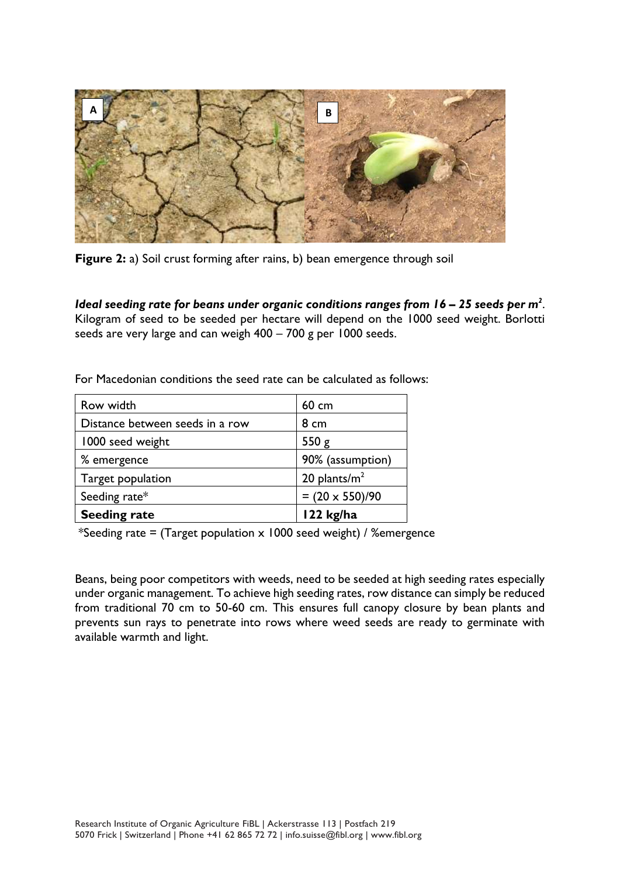

**Figure 2:** a) Soil crust forming after rains, b) bean emergence through soil

*Ideal seeding rate for beans under organic conditions ranges from 16 – 25 seeds per m<sup>2</sup>.* Kilogram of seed to be seeded per hectare will depend on the 1000 seed weight. Borlotti seeds are very large and can weigh 400 – 700 g per 1000 seeds.

| Row width                       | 60 cm                  |
|---------------------------------|------------------------|
| Distance between seeds in a row | 8 cm                   |
| 1000 seed weight                | 550g                   |
| % emergence                     | 90% (assumption)       |
| Target population               | 20 plants/ $m2$        |
| Seeding rate*                   | $= (20 \times 550)/90$ |
| <b>Seeding rate</b>             | $122$ kg/ha            |

For Macedonian conditions the seed rate can be calculated as follows:

\*Seeding rate = (Target population  $\times$  1000 seed weight) / %emergence

Beans, being poor competitors with weeds, need to be seeded at high seeding rates especially under organic management. To achieve high seeding rates, row distance can simply be reduced from traditional 70 cm to 50-60 cm. This ensures full canopy closure by bean plants and prevents sun rays to penetrate into rows where weed seeds are ready to germinate with available warmth and light.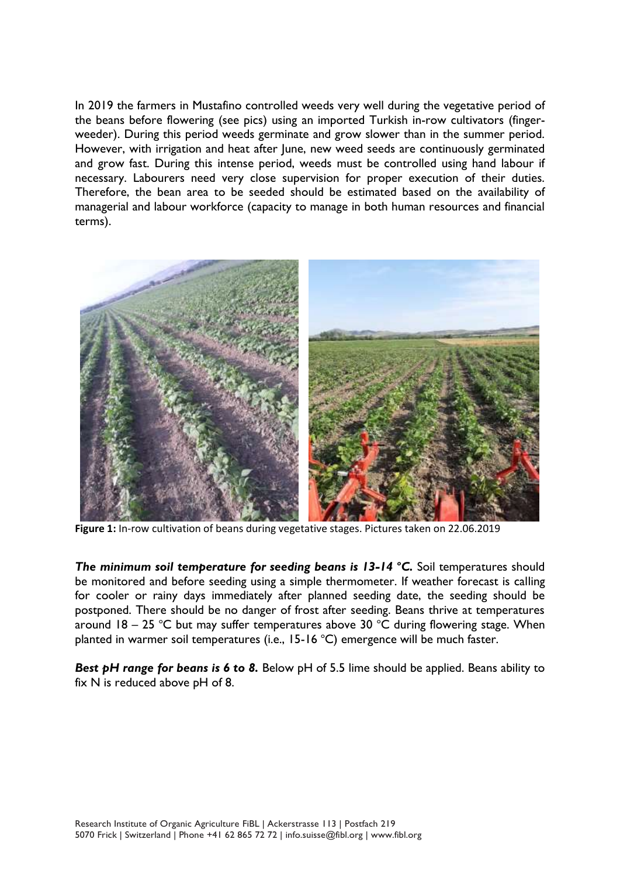In 2019 the farmers in Mustafino controlled weeds very well during the vegetative period of the beans before flowering (see pics) using an imported Turkish in-row cultivators (fingerweeder). During this period weeds germinate and grow slower than in the summer period. However, with irrigation and heat after June, new weed seeds are continuously germinated and grow fast. During this intense period, weeds must be controlled using hand labour if necessary. Labourers need very close supervision for proper execution of their duties. Therefore, the bean area to be seeded should be estimated based on the availability of managerial and labour workforce (capacity to manage in both human resources and financial terms).



**Figure 1:** In-row cultivation of beans during vegetative stages. Pictures taken on 22.06.2019

*The minimum soil temperature for seeding beans is 13-14 <sup>o</sup>C.* Soil temperatures should be monitored and before seeding using a simple thermometer. If weather forecast is calling for cooler or rainy days immediately after planned seeding date, the seeding should be postponed. There should be no danger of frost after seeding. Beans thrive at temperatures around  $18 - 25$  °C but may suffer temperatures above 30 °C during flowering stage. When planted in warmer soil temperatures (i.e.,  $15-16$  °C) emergence will be much faster.

**Best pH range for beans is 6 to 8.** Below pH of 5.5 lime should be applied. Beans ability to fix N is reduced above pH of 8.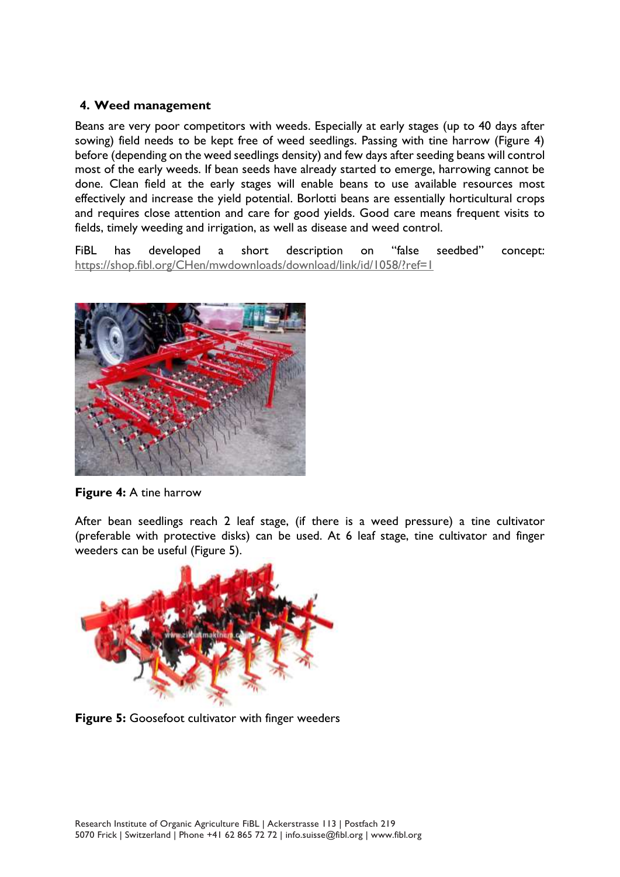## **4. Weed management**

Beans are very poor competitors with weeds. Especially at early stages (up to 40 days after sowing) field needs to be kept free of weed seedlings. Passing with tine harrow (Figure 4) before (depending on the weed seedlings density) and few days after seeding beans will control most of the early weeds. If bean seeds have already started to emerge, harrowing cannot be done. Clean field at the early stages will enable beans to use available resources most effectively and increase the yield potential. Borlotti beans are essentially horticultural crops and requires close attention and care for good yields. Good care means frequent visits to fields, timely weeding and irrigation, as well as disease and weed control.

FiBL has developed a short description on "false seedbed" concept: <https://shop.fibl.org/CHen/mwdownloads/download/link/id/1058/?ref=1>



**Figure 4:** A tine harrow

After bean seedlings reach 2 leaf stage, (if there is a weed pressure) a tine cultivator (preferable with protective disks) can be used. At 6 leaf stage, tine cultivator and finger weeders can be useful (Figure 5).



**Figure 5:** Goosefoot cultivator with finger weeders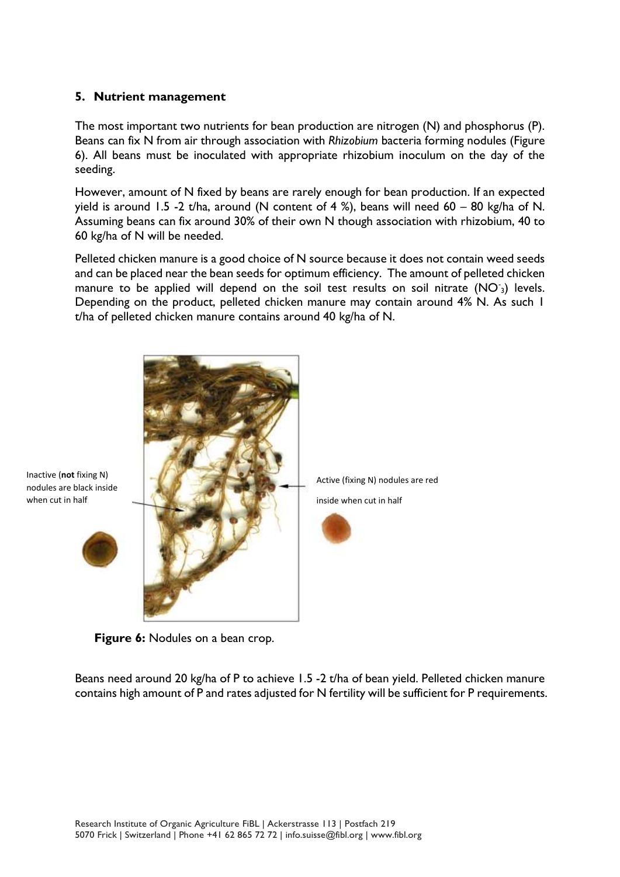## **5. Nutrient management**

The most important two nutrients for bean production are nitrogen (N) and phosphorus (P). Beans can fix N from air through association with *Rhizobium* bacteria forming nodules (Figure 6). All beans must be inoculated with appropriate rhizobium inoculum on the day of the seeding.

However, amount of N fixed by beans are rarely enough for bean production. If an expected yield is around 1.5 -2 t/ha, around (N content of 4 %), beans will need  $60 - 80$  kg/ha of N. Assuming beans can fix around 30% of their own N though association with rhizobium, 40 to 60 kg/ha of N will be needed.

Pelleted chicken manure is a good choice of N source because it does not contain weed seeds and can be placed near the bean seeds for optimum efficiency. The amount of pelleted chicken manure to be applied will depend on the soil test results on soil nitrate  $(NO<sub>3</sub>)$  levels. Depending on the product, pelleted chicken manure may contain around 4% N. As such 1 t/ha of pelleted chicken manure contains around 40 kg/ha of N.





Beans need around 20 kg/ha of P to achieve 1.5 -2 t/ha of bean yield. Pelleted chicken manure contains high amount of P and rates adjusted for N fertility will be sufficient for P requirements.